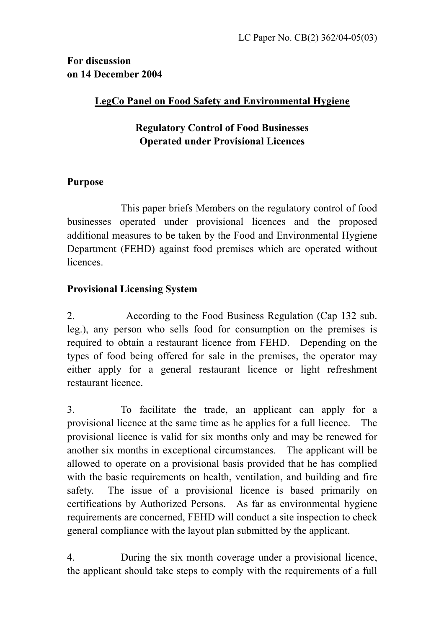**For discussion on 14 December 2004** 

# **LegCo Panel on Food Safety and Environmental Hygiene**

# **Regulatory Control of Food Businesses Operated under Provisional Licences**

### **Purpose**

 This paper briefs Members on the regulatory control of food businesses operated under provisional licences and the proposed additional measures to be taken by the Food and Environmental Hygiene Department (FEHD) against food premises which are operated without **licences** 

# **Provisional Licensing System**

2. According to the Food Business Regulation (Cap 132 sub. leg.), any person who sells food for consumption on the premises is required to obtain a restaurant licence from FEHD. Depending on the types of food being offered for sale in the premises, the operator may either apply for a general restaurant licence or light refreshment restaurant licence.

3. To facilitate the trade, an applicant can apply for a provisional licence at the same time as he applies for a full licence. The provisional licence is valid for six months only and may be renewed for another six months in exceptional circumstances. The applicant will be allowed to operate on a provisional basis provided that he has complied with the basic requirements on health, ventilation, and building and fire safety. The issue of a provisional licence is based primarily on certifications by Authorized Persons. As far as environmental hygiene requirements are concerned, FEHD will conduct a site inspection to check general compliance with the layout plan submitted by the applicant.

4. During the six month coverage under a provisional licence, the applicant should take steps to comply with the requirements of a full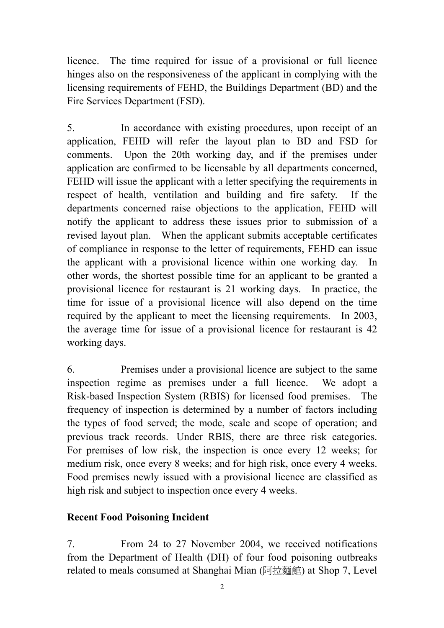licence. The time required for issue of a provisional or full licence hinges also on the responsiveness of the applicant in complying with the licensing requirements of FEHD, the Buildings Department (BD) and the Fire Services Department (FSD).

5. In accordance with existing procedures, upon receipt of an application, FEHD will refer the layout plan to BD and FSD for comments. Upon the 20th working day, and if the premises under application are confirmed to be licensable by all departments concerned, FEHD will issue the applicant with a letter specifying the requirements in respect of health, ventilation and building and fire safety. If the departments concerned raise objections to the application, FEHD will notify the applicant to address these issues prior to submission of a revised layout plan. When the applicant submits acceptable certificates of compliance in response to the letter of requirements, FEHD can issue the applicant with a provisional licence within one working day. In other words, the shortest possible time for an applicant to be granted a provisional licence for restaurant is 21 working days. In practice, the time for issue of a provisional licence will also depend on the time required by the applicant to meet the licensing requirements. In 2003, the average time for issue of a provisional licence for restaurant is 42 working days.

6. Premises under a provisional licence are subject to the same inspection regime as premises under a full licence. We adopt a Risk-based Inspection System (RBIS) for licensed food premises. The frequency of inspection is determined by a number of factors including the types of food served; the mode, scale and scope of operation; and previous track records. Under RBIS, there are three risk categories. For premises of low risk, the inspection is once every 12 weeks; for medium risk, once every 8 weeks; and for high risk, once every 4 weeks. Food premises newly issued with a provisional licence are classified as high risk and subject to inspection once every 4 weeks.

### **Recent Food Poisoning Incident**

7. From 24 to 27 November 2004, we received notifications from the Department of Health (DH) of four food poisoning outbreaks related to meals consumed at Shanghai Mian (阿拉麵館) at Shop 7, Level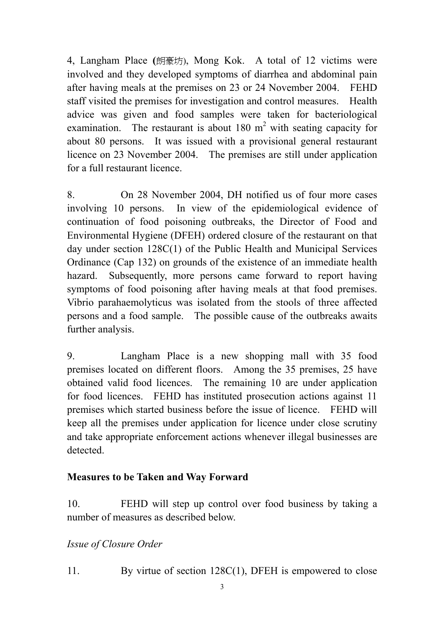4, Langham Place **(**朗豪坊), Mong Kok. A total of 12 victims were involved and they developed symptoms of diarrhea and abdominal pain after having meals at the premises on 23 or 24 November 2004. FEHD staff visited the premises for investigation and control measures. Health advice was given and food samples were taken for bacteriological examination. The restaurant is about 180  $m<sup>2</sup>$  with seating capacity for about 80 persons. It was issued with a provisional general restaurant licence on 23 November 2004. The premises are still under application for a full restaurant licence.

8. On 28 November 2004, DH notified us of four more cases involving 10 persons. In view of the epidemiological evidence of continuation of food poisoning outbreaks, the Director of Food and Environmental Hygiene (DFEH) ordered closure of the restaurant on that day under section 128C(1) of the Public Health and Municipal Services Ordinance (Cap 132) on grounds of the existence of an immediate health hazard. Subsequently, more persons came forward to report having symptoms of food poisoning after having meals at that food premises. Vibrio parahaemolyticus was isolated from the stools of three affected persons and a food sample. The possible cause of the outbreaks awaits further analysis.

9. Langham Place is a new shopping mall with 35 food premises located on different floors. Among the 35 premises, 25 have obtained valid food licences. The remaining 10 are under application for food licences. FEHD has instituted prosecution actions against 11 premises which started business before the issue of licence. FEHD will keep all the premises under application for licence under close scrutiny and take appropriate enforcement actions whenever illegal businesses are detected.

# **Measures to be Taken and Way Forward**

10. FEHD will step up control over food business by taking a number of measures as described below.

# *Issue of Closure Order*

11. By virtue of section 128C(1), DFEH is empowered to close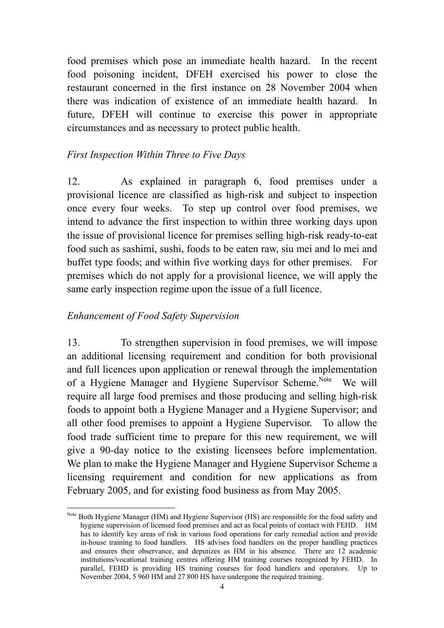food premises which pose an immediate health hazard. In the recent food poisoning incident, DFEH exercised his power to close the restaurant concerned in the first instance on 28 November 2004 when there was indication of existence of an immediate health hazard. In future, DFEH will continue to exercise this power in appropriate circumstances and as necessary to protect public health.

### *First Inspection Within Three to Five Days*

12. As explained in paragraph 6, food premises under a provisional licence are classified as high-risk and subject to inspection once every four weeks. To step up control over food premises, we intend to advance the first inspection to within three working days upon the issue of provisional licence for premises selling high-risk ready-to-eat food such as sashimi, sushi, foods to be eaten raw, siu mei and lo mei and buffet type foods; and within five working days for other premises. For premises which do not apply for a provisional licence, we will apply the same early inspection regime upon the issue of a full licence.

#### *Enhancement of Food Safety Supervision*

 $\overline{a}$ 

13. To strengthen supervision in food premises, we will impose an additional licensing requirement and condition for both provisional and full licences upon application or renewal through the implementation of a Hygiene Manager and Hygiene Supervisor Scheme.<sup>Note</sup> We will require all large food premises and those producing and selling high-risk foods to appoint both a Hygiene Manager and a Hygiene Supervisor; and all other food premises to appoint a Hygiene Supervisor. To allow the food trade sufficient time to prepare for this new requirement, we will give a 90-day notice to the existing licensees before implementation. We plan to make the Hygiene Manager and Hygiene Supervisor Scheme a licensing requirement and condition for new applications as from February 2005, and for existing food business as from May 2005.

Note Both Hygiene Manager (HM) and Hygiene Supervisor (HS) are responsible for the food safety and hygiene supervision of licensed food premises and act as focal points of contact with FEHD. HM has to identify key areas of risk in various food operations for early remedial action and provide in-house training to food handlers. HS advises food handlers on the proper handling practices and ensures their observance, and deputizes as HM in his absence. There are 12 academic institutions/vocational training centres offering HM training courses recognized by FEHD. In parallel, FEHD is providing HS training courses for food handlers and operators. Up to November 2004, 5 960 HM and 27 800 HS have undergone the required training.